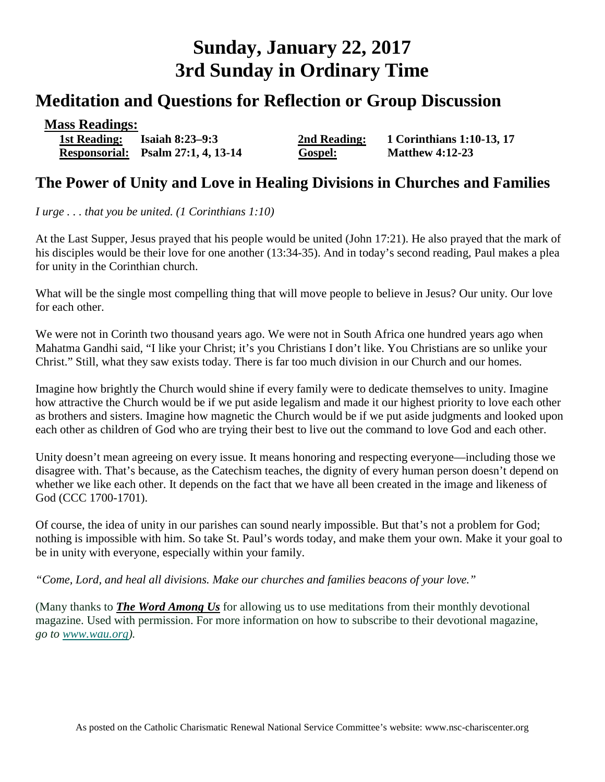# **Sunday, January 22, 2017 3rd Sunday in Ordinary Time**

# **Meditation and Questions for Reflection or Group Discussion**

| <b>Mass Readings:</b> |                                           |                |                           |
|-----------------------|-------------------------------------------|----------------|---------------------------|
| 1st Reading:          | <b>Isaiah 8:23–9:3</b>                    | 2nd Reading:   | 1 Corinthians 1:10-13, 17 |
|                       | <b>Responsorial:</b> Psalm 27:1, 4, 13-14 | <b>Gospel:</b> | <b>Matthew 4:12-23</b>    |

### **The Power of Unity and Love in Healing Divisions in Churches and Families**

*I urge . . . that you be united. (1 Corinthians 1:10)* 

At the Last Supper, Jesus prayed that his people would be united (John 17:21). He also prayed that the mark of his disciples would be their love for one another (13:34-35). And in today's second reading, Paul makes a plea for unity in the Corinthian church.

What will be the single most compelling thing that will move people to believe in Jesus? Our unity. Our love for each other.

We were not in Corinth two thousand years ago. We were not in South Africa one hundred years ago when Mahatma Gandhi said, "I like your Christ; it's you Christians I don't like. You Christians are so unlike your Christ." Still, what they saw exists today. There is far too much division in our Church and our homes.

Imagine how brightly the Church would shine if every family were to dedicate themselves to unity. Imagine how attractive the Church would be if we put aside legalism and made it our highest priority to love each other as brothers and sisters. Imagine how magnetic the Church would be if we put aside judgments and looked upon each other as children of God who are trying their best to live out the command to love God and each other.

Unity doesn't mean agreeing on every issue. It means honoring and respecting everyone—including those we disagree with. That's because, as the Catechism teaches, the dignity of every human person doesn't depend on whether we like each other. It depends on the fact that we have all been created in the image and likeness of God (CCC 1700-1701).

Of course, the idea of unity in our parishes can sound nearly impossible. But that's not a problem for God; nothing is impossible with him. So take St. Paul's words today, and make them your own. Make it your goal to be in unity with everyone, especially within your family.

*"Come, Lord, and heal all divisions. Make our churches and families beacons of your love."*

(Many thanks to *[The Word Among Us](http://www.wau.org/)* for allowing us to use meditations from their monthly devotional magazine. Used with permission. For more information on how to subscribe to their devotional magazine, *go to [www.wau.org\)](http://www.wau.org/).*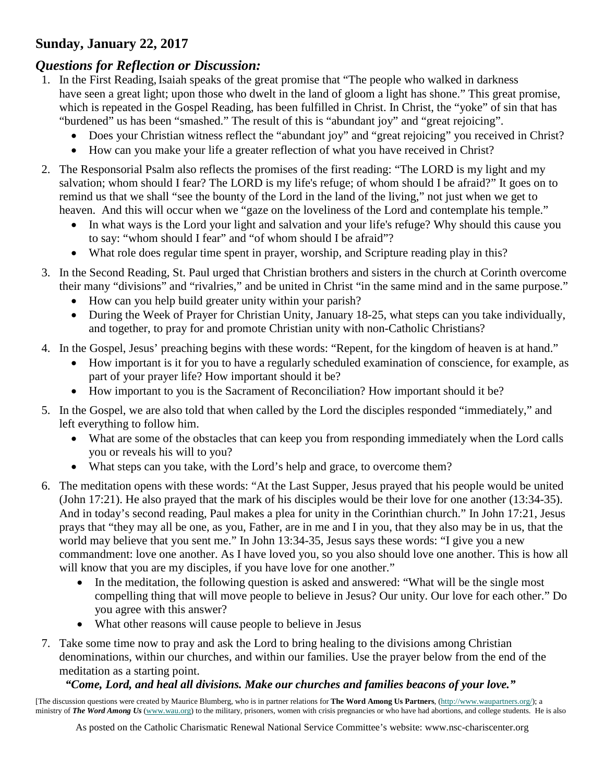#### **Sunday, January 22, 2017**

## *Questions for Reflection or Discussion:*

- 1. In the First Reading,Isaiah speaks of the great promise that "The people who walked in darkness have seen a great light; upon those who dwelt in the land of gloom a light has shone." This great promise, which is repeated in the Gospel Reading, has been fulfilled in Christ. In Christ, the "yoke" of sin that has "burdened" us has been "smashed." The result of this is "abundant joy" and "great rejoicing".
	- Does your Christian witness reflect the "abundant joy" and "great rejoicing" you received in Christ?
	- How can you make your life a greater reflection of what you have received in Christ?
- 2. The Responsorial Psalm also reflects the promises of the first reading: "The LORD is my light and my salvation; whom should I fear? The LORD is my life's refuge; of whom should I be afraid?" It goes on to remind us that we shall "see the bounty of the Lord in the land of the living," not just when we get to heaven. And this will occur when we "gaze on the loveliness of the Lord and contemplate his temple."
	- In what ways is the Lord your light and salvation and your life's refuge? Why should this cause you to say: "whom should I fear" and "of whom should I be afraid"?
	- What role does regular time spent in prayer, worship, and Scripture reading play in this?
- 3. In the Second Reading, St. Paul urged that Christian brothers and sisters in the church at Corinth overcome their many "divisions" and "rivalries," and be united in Christ "in the same mind and in the same purpose."
	- How can you help build greater unity within your parish?
	- During the Week of Prayer for Christian Unity, January 18-25, what steps can you take individually, and together, to pray for and promote Christian unity with non-Catholic Christians?
- 4. In the Gospel, Jesus' preaching begins with these words: "Repent, for the kingdom of heaven is at hand."
	- How important is it for you to have a regularly scheduled examination of conscience, for example, as part of your prayer life? How important should it be?
	- How important to you is the Sacrament of Reconciliation? How important should it be?
- 5. In the Gospel, we are also told that when called by the Lord the disciples responded "immediately," and left everything to follow him.
	- What are some of the obstacles that can keep you from responding immediately when the Lord calls you or reveals his will to you?
	- What steps can you take, with the Lord's help and grace, to overcome them?
- 6. The meditation opens with these words: "At the Last Supper, Jesus prayed that his people would be united (John 17:21). He also prayed that the mark of his disciples would be their love for one another (13:34-35). And in today's second reading, Paul makes a plea for unity in the Corinthian church." In John 17:21, Jesus prays that "they may all be one, as you, Father, are in me and I in you, that they also may be in us, that the world may believe that you sent me." In John 13:34-35, Jesus says these words: "I give you a new commandment: love one another. As I have loved you, so you also should love one another. This is how all will know that you are my disciples, if you have love for one another."
	- In the meditation, the following question is asked and answered: "What will be the single most compelling thing that will move people to believe in Jesus? Our unity. Our love for each other." Do you agree with this answer?
	- What other reasons will cause people to believe in Jesus
- 7. Take some time now to pray and ask the Lord to bring healing to the divisions among Christian denominations, within our churches, and within our families. Use the prayer below from the end of the meditation as a starting point.

#### *"Come, Lord, and heal all divisions. Make our churches and families beacons of your love."*

[The discussion questions were created by Maurice Blumberg, who is in partner relations for **The Word Among Us Partners**, [\(http://www.waupartners.org/\)](http://www2.wau.org/partners/); a ministry of **The Word Among Us** [\(www.wau.org\)](http://www.wau.org/) to the military, prisoners, women with crisis pregnancies or who have had abortions, and college students. He is also

As posted on the Catholic Charismatic Renewal National Service Committee's website: www.nsc-chariscenter.org